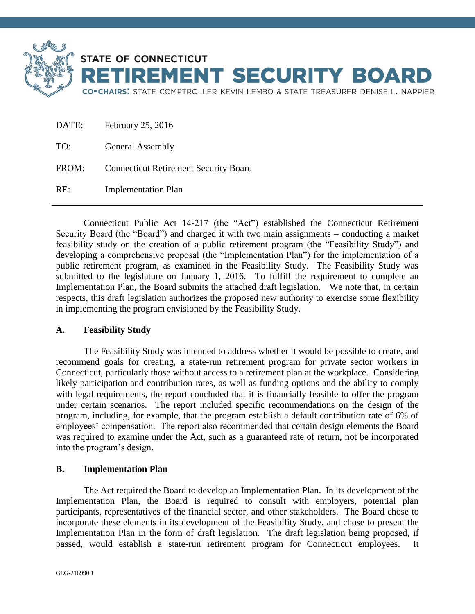

| DATE: | February 25, 2016                            |
|-------|----------------------------------------------|
| TO:   | <b>General Assembly</b>                      |
| FROM: | <b>Connecticut Retirement Security Board</b> |
| RE:   | <b>Implementation Plan</b>                   |

Connecticut Public Act 14-217 (the "Act") established the Connecticut Retirement Security Board (the "Board") and charged it with two main assignments – conducting a market feasibility study on the creation of a public retirement program (the "Feasibility Study") and developing a comprehensive proposal (the "Implementation Plan") for the implementation of a public retirement program, as examined in the Feasibility Study. The Feasibility Study was submitted to the legislature on January 1, 2016. To fulfill the requirement to complete an Implementation Plan, the Board submits the attached draft legislation. We note that, in certain respects, this draft legislation authorizes the proposed new authority to exercise some flexibility in implementing the program envisioned by the Feasibility Study.

### **A. Feasibility Study**

The Feasibility Study was intended to address whether it would be possible to create, and recommend goals for creating, a state-run retirement program for private sector workers in Connecticut, particularly those without access to a retirement plan at the workplace. Considering likely participation and contribution rates, as well as funding options and the ability to comply with legal requirements, the report concluded that it is financially feasible to offer the program under certain scenarios. The report included specific recommendations on the design of the program, including, for example, that the program establish a default contribution rate of 6% of employees' compensation. The report also recommended that certain design elements the Board was required to examine under the Act, such as a guaranteed rate of return, not be incorporated into the program's design.

### **B. Implementation Plan**

The Act required the Board to develop an Implementation Plan. In its development of the Implementation Plan, the Board is required to consult with employers, potential plan participants, representatives of the financial sector, and other stakeholders. The Board chose to incorporate these elements in its development of the Feasibility Study, and chose to present the Implementation Plan in the form of draft legislation. The draft legislation being proposed, if passed, would establish a state-run retirement program for Connecticut employees. It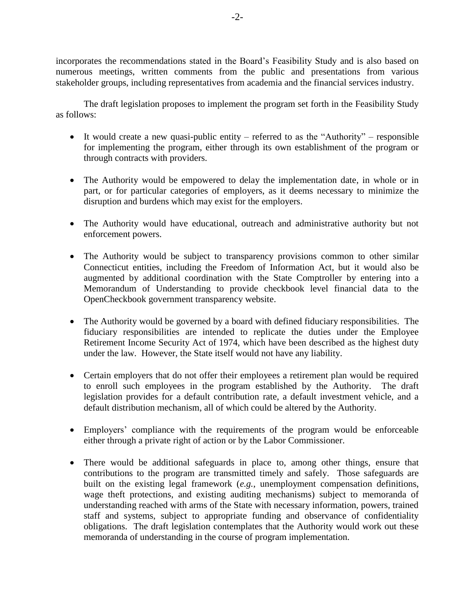incorporates the recommendations stated in the Board's Feasibility Study and is also based on numerous meetings, written comments from the public and presentations from various stakeholder groups, including representatives from academia and the financial services industry.

The draft legislation proposes to implement the program set forth in the Feasibility Study as follows:

- It would create a new quasi-public entity referred to as the "Authority" responsible for implementing the program, either through its own establishment of the program or through contracts with providers.
- The Authority would be empowered to delay the implementation date, in whole or in part, or for particular categories of employers, as it deems necessary to minimize the disruption and burdens which may exist for the employers.
- The Authority would have educational, outreach and administrative authority but not enforcement powers.
- The Authority would be subject to transparency provisions common to other similar Connecticut entities, including the Freedom of Information Act, but it would also be augmented by additional coordination with the State Comptroller by entering into a Memorandum of Understanding to provide checkbook level financial data to the OpenCheckbook government transparency website.
- The Authority would be governed by a board with defined fiduciary responsibilities. The fiduciary responsibilities are intended to replicate the duties under the Employee Retirement Income Security Act of 1974, which have been described as the highest duty under the law. However, the State itself would not have any liability.
- Certain employers that do not offer their employees a retirement plan would be required to enroll such employees in the program established by the Authority. The draft legislation provides for a default contribution rate, a default investment vehicle, and a default distribution mechanism, all of which could be altered by the Authority.
- Employers' compliance with the requirements of the program would be enforceable either through a private right of action or by the Labor Commissioner.
- There would be additional safeguards in place to, among other things, ensure that contributions to the program are transmitted timely and safely. Those safeguards are built on the existing legal framework (*e.g.*, unemployment compensation definitions, wage theft protections, and existing auditing mechanisms) subject to memoranda of understanding reached with arms of the State with necessary information, powers, trained staff and systems, subject to appropriate funding and observance of confidentiality obligations. The draft legislation contemplates that the Authority would work out these memoranda of understanding in the course of program implementation.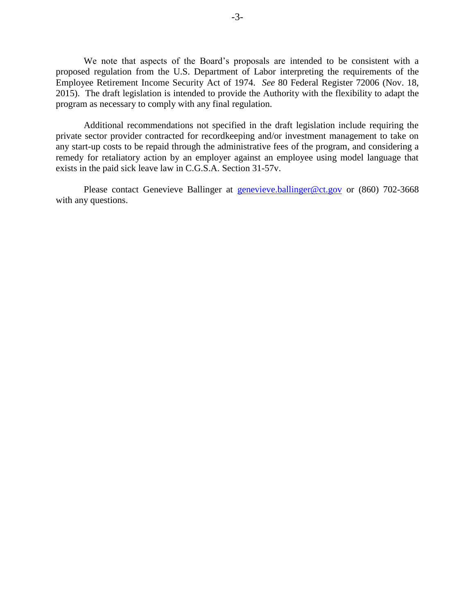We note that aspects of the Board's proposals are intended to be consistent with a proposed regulation from the U.S. Department of Labor interpreting the requirements of the Employee Retirement Income Security Act of 1974. *See* 80 Federal Register 72006 (Nov. 18, 2015). The draft legislation is intended to provide the Authority with the flexibility to adapt the program as necessary to comply with any final regulation.

Additional recommendations not specified in the draft legislation include requiring the private sector provider contracted for recordkeeping and/or investment management to take on any start-up costs to be repaid through the administrative fees of the program, and considering a remedy for retaliatory action by an employer against an employee using model language that exists in the paid sick leave law in C.G.S.A. Section 31-57v.

Please contact Genevieve Ballinger at [genevieve.ballinger@ct.gov](mailto:genevieve.ballinger@ct.gov) or (860) 702-3668 with any questions.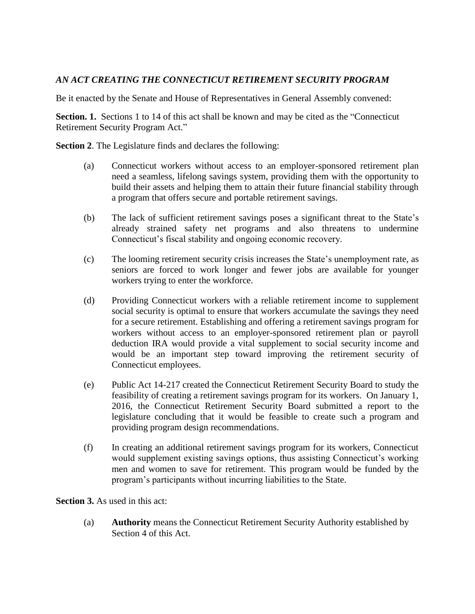### *AN ACT CREATING THE CONNECTICUT RETIREMENT SECURITY PROGRAM*

Be it enacted by the Senate and House of Representatives in General Assembly convened:

**Section. 1.** Sections 1 to 14 of this act shall be known and may be cited as the "Connecticut" Retirement Security Program Act."

**Section 2**. The Legislature finds and declares the following:

- (a) Connecticut workers without access to an employer-sponsored retirement plan need a seamless, lifelong savings system, providing them with the opportunity to build their assets and helping them to attain their future financial stability through a program that offers secure and portable retirement savings.
- (b) The lack of sufficient retirement savings poses a significant threat to the State's already strained safety net programs and also threatens to undermine Connecticut's fiscal stability and ongoing economic recovery.
- (c) The looming retirement security crisis increases the State's unemployment rate, as seniors are forced to work longer and fewer jobs are available for younger workers trying to enter the workforce.
- (d) Providing Connecticut workers with a reliable retirement income to supplement social security is optimal to ensure that workers accumulate the savings they need for a secure retirement. Establishing and offering a retirement savings program for workers without access to an employer-sponsored retirement plan or payroll deduction IRA would provide a vital supplement to social security income and would be an important step toward improving the retirement security of Connecticut employees.
- (e) Public Act 14-217 created the Connecticut Retirement Security Board to study the feasibility of creating a retirement savings program for its workers. On January 1, 2016, the Connecticut Retirement Security Board submitted a report to the legislature concluding that it would be feasible to create such a program and providing program design recommendations.
- (f) In creating an additional retirement savings program for its workers, Connecticut would supplement existing savings options, thus assisting Connecticut's working men and women to save for retirement. This program would be funded by the program's participants without incurring liabilities to the State.

**Section 3.** As used in this act:

(a) **Authority** means the Connecticut Retirement Security Authority established by Section 4 of this Act.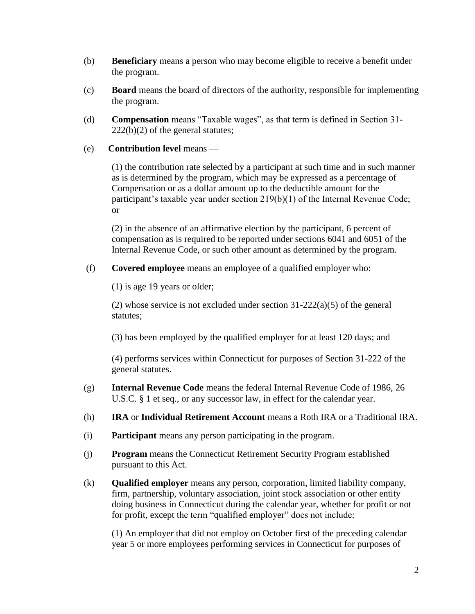- (b) **Beneficiary** means a person who may become eligible to receive a benefit under the program.
- (c) **Board** means the board of directors of the authority, responsible for implementing the program.
- (d) **Compensation** means "Taxable wages", as that term is defined in Section 31-  $222(b)(2)$  of the general statutes;
- (e) **Contribution level** means —

(1) the contribution rate selected by a participant at such time and in such manner as is determined by the program, which may be expressed as a percentage of Compensation or as a dollar amount up to the deductible amount for the participant's taxable year under section 219(b)(1) of the Internal Revenue Code; or

(2) in the absence of an affirmative election by the participant, 6 percent of compensation as is required to be reported under sections 6041 and 6051 of the Internal Revenue Code, or such other amount as determined by the program.

(f) **Covered employee** means an employee of a qualified employer who:

(1) is age 19 years or older;

(2) whose service is not excluded under section 31-222(a)(5) of the general statutes;

(3) has been employed by the qualified employer for at least 120 days; and

(4) performs services within Connecticut for purposes of Section 31-222 of the general statutes.

- (g) **Internal Revenue Code** means the federal Internal Revenue Code of 1986, 26 U.S.C. § 1 et seq., or any successor law, in effect for the calendar year.
- (h) **IRA** or **Individual Retirement Account** means a Roth IRA or a Traditional IRA.
- (i) **Participant** means any person participating in the program.
- (j) **Program** means the Connecticut Retirement Security Program established pursuant to this Act.
- (k) **Qualified employer** means any person, corporation, limited liability company, firm, partnership, voluntary association, joint stock association or other entity doing business in Connecticut during the calendar year, whether for profit or not for profit, except the term "qualified employer" does not include:

(1) An employer that did not employ on October first of the preceding calendar year 5 or more employees performing services in Connecticut for purposes of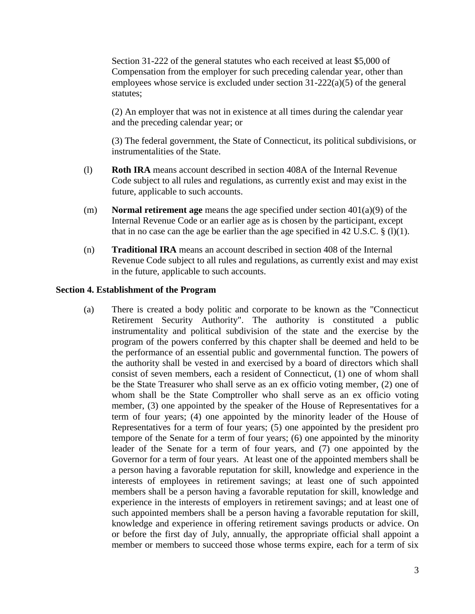Section 31-222 of the general statutes who each received at least \$5,000 of Compensation from the employer for such preceding calendar year, other than employees whose service is excluded under section 31-222(a)(5) of the general statutes;

(2) An employer that was not in existence at all times during the calendar year and the preceding calendar year; or

(3) The federal government, the State of Connecticut, its political subdivisions, or instrumentalities of the State.

- (l) **Roth IRA** means account described in section 408A of the Internal Revenue Code subject to all rules and regulations, as currently exist and may exist in the future, applicable to such accounts.
- (m) **Normal retirement age** means the age specified under section 401(a)(9) of the Internal Revenue Code or an earlier age as is chosen by the participant, except that in no case can the age be earlier than the age specified in 42 U.S.C.  $\S$  (1)(1).
- (n) **Traditional IRA** means an account described in section 408 of the Internal Revenue Code subject to all rules and regulations, as currently exist and may exist in the future, applicable to such accounts.

#### **Section 4. Establishment of the Program**

(a) There is created a body politic and corporate to be known as the "Connecticut Retirement Security Authority". The authority is constituted a public instrumentality and political subdivision of the state and the exercise by the program of the powers conferred by this chapter shall be deemed and held to be the performance of an essential public and governmental function. The powers of the authority shall be vested in and exercised by a board of directors which shall consist of seven members, each a resident of Connecticut, (1) one of whom shall be the State Treasurer who shall serve as an ex officio voting member, (2) one of whom shall be the State Comptroller who shall serve as an ex officio voting member, (3) one appointed by the speaker of the House of Representatives for a term of four years; (4) one appointed by the minority leader of the House of Representatives for a term of four years; (5) one appointed by the president pro tempore of the Senate for a term of four years; (6) one appointed by the minority leader of the Senate for a term of four years, and (7) one appointed by the Governor for a term of four years. At least one of the appointed members shall be a person having a favorable reputation for skill, knowledge and experience in the interests of employees in retirement savings; at least one of such appointed members shall be a person having a favorable reputation for skill, knowledge and experience in the interests of employers in retirement savings; and at least one of such appointed members shall be a person having a favorable reputation for skill, knowledge and experience in offering retirement savings products or advice. On or before the first day of July, annually, the appropriate official shall appoint a member or members to succeed those whose terms expire, each for a term of six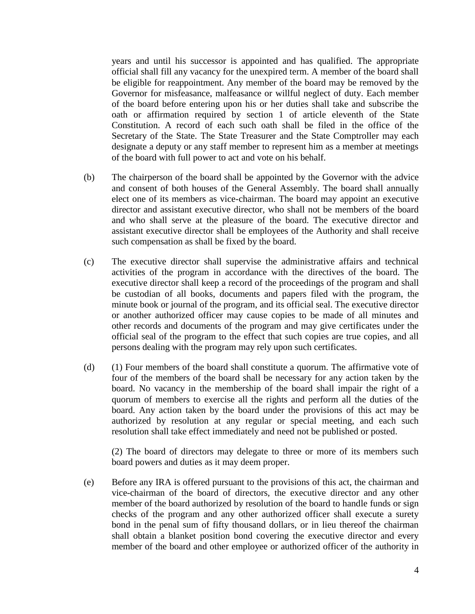years and until his successor is appointed and has qualified. The appropriate official shall fill any vacancy for the unexpired term. A member of the board shall be eligible for reappointment. Any member of the board may be removed by the Governor for misfeasance, malfeasance or willful neglect of duty. Each member of the board before entering upon his or her duties shall take and subscribe the oath or affirmation required by section 1 of article eleventh of the State Constitution. A record of each such oath shall be filed in the office of the Secretary of the State. The State Treasurer and the State Comptroller may each designate a deputy or any staff member to represent him as a member at meetings of the board with full power to act and vote on his behalf.

- (b) The chairperson of the board shall be appointed by the Governor with the advice and consent of both houses of the General Assembly. The board shall annually elect one of its members as vice-chairman. The board may appoint an executive director and assistant executive director, who shall not be members of the board and who shall serve at the pleasure of the board. The executive director and assistant executive director shall be employees of the Authority and shall receive such compensation as shall be fixed by the board.
- (c) The executive director shall supervise the administrative affairs and technical activities of the program in accordance with the directives of the board. The executive director shall keep a record of the proceedings of the program and shall be custodian of all books, documents and papers filed with the program, the minute book or journal of the program, and its official seal. The executive director or another authorized officer may cause copies to be made of all minutes and other records and documents of the program and may give certificates under the official seal of the program to the effect that such copies are true copies, and all persons dealing with the program may rely upon such certificates.
- (d) (1) Four members of the board shall constitute a quorum. The affirmative vote of four of the members of the board shall be necessary for any action taken by the board. No vacancy in the membership of the board shall impair the right of a quorum of members to exercise all the rights and perform all the duties of the board. Any action taken by the board under the provisions of this act may be authorized by resolution at any regular or special meeting, and each such resolution shall take effect immediately and need not be published or posted.

(2) The board of directors may delegate to three or more of its members such board powers and duties as it may deem proper.

(e) Before any IRA is offered pursuant to the provisions of this act, the chairman and vice-chairman of the board of directors, the executive director and any other member of the board authorized by resolution of the board to handle funds or sign checks of the program and any other authorized officer shall execute a surety bond in the penal sum of fifty thousand dollars, or in lieu thereof the chairman shall obtain a blanket position bond covering the executive director and every member of the board and other employee or authorized officer of the authority in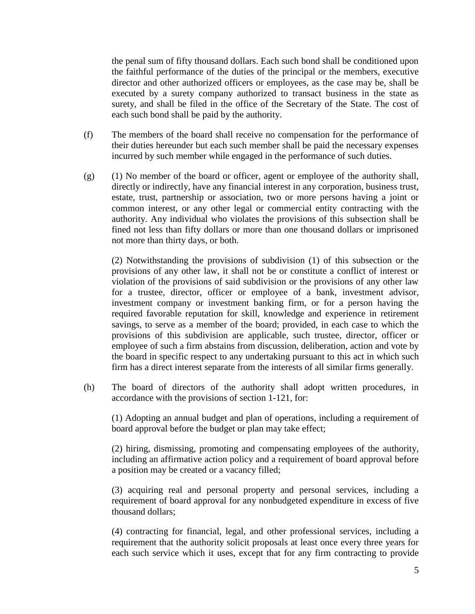the penal sum of fifty thousand dollars. Each such bond shall be conditioned upon the faithful performance of the duties of the principal or the members, executive director and other authorized officers or employees, as the case may be, shall be executed by a surety company authorized to transact business in the state as surety, and shall be filed in the office of the Secretary of the State. The cost of each such bond shall be paid by the authority.

- (f) The members of the board shall receive no compensation for the performance of their duties hereunder but each such member shall be paid the necessary expenses incurred by such member while engaged in the performance of such duties.
- (g) (1) No member of the board or officer, agent or employee of the authority shall, directly or indirectly, have any financial interest in any corporation, business trust, estate, trust, partnership or association, two or more persons having a joint or common interest, or any other legal or commercial entity contracting with the authority. Any individual who violates the provisions of this subsection shall be fined not less than fifty dollars or more than one thousand dollars or imprisoned not more than thirty days, or both.

(2) Notwithstanding the provisions of subdivision (1) of this subsection or the provisions of any other law, it shall not be or constitute a conflict of interest or violation of the provisions of said subdivision or the provisions of any other law for a trustee, director, officer or employee of a bank, investment advisor, investment company or investment banking firm, or for a person having the required favorable reputation for skill, knowledge and experience in retirement savings, to serve as a member of the board; provided, in each case to which the provisions of this subdivision are applicable, such trustee, director, officer or employee of such a firm abstains from discussion, deliberation, action and vote by the board in specific respect to any undertaking pursuant to this act in which such firm has a direct interest separate from the interests of all similar firms generally.

(h) The board of directors of the authority shall adopt written procedures, in accordance with the provisions of section 1-121, for:

(1) Adopting an annual budget and plan of operations, including a requirement of board approval before the budget or plan may take effect;

(2) hiring, dismissing, promoting and compensating employees of the authority, including an affirmative action policy and a requirement of board approval before a position may be created or a vacancy filled;

(3) acquiring real and personal property and personal services, including a requirement of board approval for any nonbudgeted expenditure in excess of five thousand dollars;

(4) contracting for financial, legal, and other professional services, including a requirement that the authority solicit proposals at least once every three years for each such service which it uses, except that for any firm contracting to provide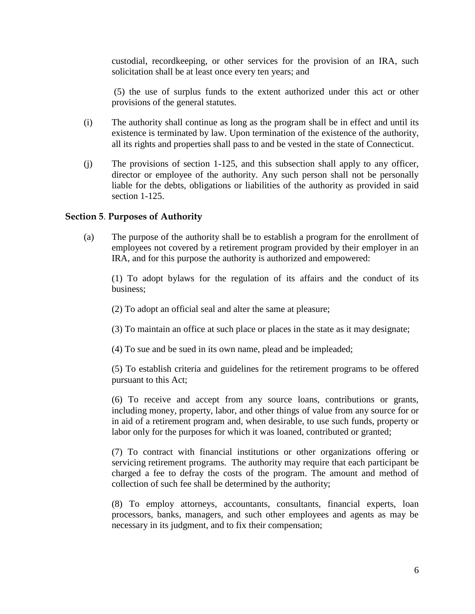custodial, recordkeeping, or other services for the provision of an IRA, such solicitation shall be at least once every ten years; and

(5) the use of surplus funds to the extent authorized under this act or other provisions of the general statutes.

- (i) The authority shall continue as long as the program shall be in effect and until its existence is terminated by law. Upon termination of the existence of the authority, all its rights and properties shall pass to and be vested in the state of Connecticut.
- (j) The provisions of section 1-125, and this subsection shall apply to any officer, director or employee of the authority. Any such person shall not be personally liable for the debts, obligations or liabilities of the authority as provided in said section 1-125.

### **Section 5**. **Purposes of Authority**

(a) The purpose of the authority shall be to establish a program for the enrollment of employees not covered by a retirement program provided by their employer in an IRA, and for this purpose the authority is authorized and empowered:

(1) To adopt bylaws for the regulation of its affairs and the conduct of its business;

- (2) To adopt an official seal and alter the same at pleasure;
- (3) To maintain an office at such place or places in the state as it may designate;
- (4) To sue and be sued in its own name, plead and be impleaded;

(5) To establish criteria and guidelines for the retirement programs to be offered pursuant to this Act;

(6) To receive and accept from any source loans, contributions or grants, including money, property, labor, and other things of value from any source for or in aid of a retirement program and, when desirable, to use such funds, property or labor only for the purposes for which it was loaned, contributed or granted;

(7) To contract with financial institutions or other organizations offering or servicing retirement programs. The authority may require that each participant be charged a fee to defray the costs of the program. The amount and method of collection of such fee shall be determined by the authority;

(8) To employ attorneys, accountants, consultants, financial experts, loan processors, banks, managers, and such other employees and agents as may be necessary in its judgment, and to fix their compensation;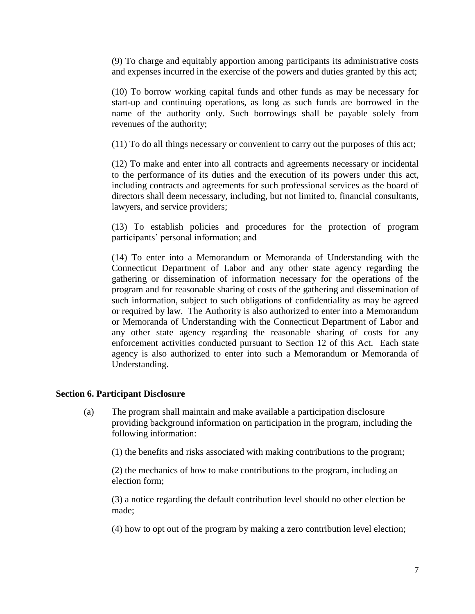(9) To charge and equitably apportion among participants its administrative costs and expenses incurred in the exercise of the powers and duties granted by this act;

(10) To borrow working capital funds and other funds as may be necessary for start-up and continuing operations, as long as such funds are borrowed in the name of the authority only. Such borrowings shall be payable solely from revenues of the authority;

(11) To do all things necessary or convenient to carry out the purposes of this act;

(12) To make and enter into all contracts and agreements necessary or incidental to the performance of its duties and the execution of its powers under this act, including contracts and agreements for such professional services as the board of directors shall deem necessary, including, but not limited to, financial consultants, lawyers, and service providers;

(13) To establish policies and procedures for the protection of program participants' personal information; and

(14) To enter into a Memorandum or Memoranda of Understanding with the Connecticut Department of Labor and any other state agency regarding the gathering or dissemination of information necessary for the operations of the program and for reasonable sharing of costs of the gathering and dissemination of such information, subject to such obligations of confidentiality as may be agreed or required by law. The Authority is also authorized to enter into a Memorandum or Memoranda of Understanding with the Connecticut Department of Labor and any other state agency regarding the reasonable sharing of costs for any enforcement activities conducted pursuant to Section 12 of this Act. Each state agency is also authorized to enter into such a Memorandum or Memoranda of Understanding.

### **Section 6. Participant Disclosure**

(a) The program shall maintain and make available a participation disclosure providing background information on participation in the program, including the following information:

(1) the benefits and risks associated with making contributions to the program;

(2) the mechanics of how to make contributions to the program, including an election form;

(3) a notice regarding the default contribution level should no other election be made;

(4) how to opt out of the program by making a zero contribution level election;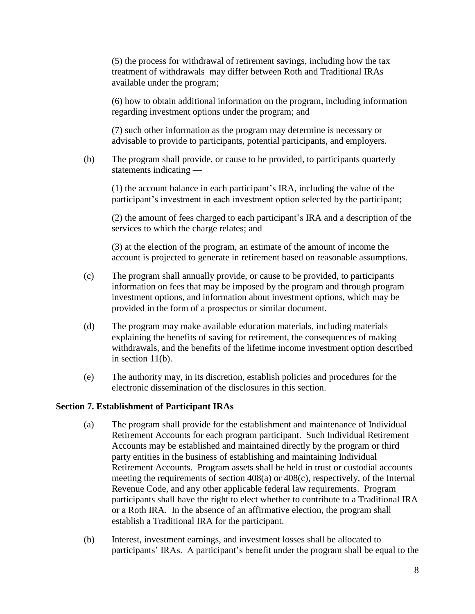(5) the process for withdrawal of retirement savings, including how the tax treatment of withdrawals may differ between Roth and Traditional IRAs available under the program;

(6) how to obtain additional information on the program, including information regarding investment options under the program; and

(7) such other information as the program may determine is necessary or advisable to provide to participants, potential participants, and employers.

(b) The program shall provide, or cause to be provided, to participants quarterly statements indicating —

(1) the account balance in each participant's IRA, including the value of the participant's investment in each investment option selected by the participant;

(2) the amount of fees charged to each participant's IRA and a description of the services to which the charge relates; and

(3) at the election of the program, an estimate of the amount of income the account is projected to generate in retirement based on reasonable assumptions.

- (c) The program shall annually provide, or cause to be provided, to participants information on fees that may be imposed by the program and through program investment options, and information about investment options, which may be provided in the form of a prospectus or similar document.
- (d) The program may make available education materials, including materials explaining the benefits of saving for retirement, the consequences of making withdrawals, and the benefits of the lifetime income investment option described in section 11(b).
- (e) The authority may, in its discretion, establish policies and procedures for the electronic dissemination of the disclosures in this section.

### **Section 7. Establishment of Participant IRAs**

- (a) The program shall provide for the establishment and maintenance of Individual Retirement Accounts for each program participant. Such Individual Retirement Accounts may be established and maintained directly by the program or third party entities in the business of establishing and maintaining Individual Retirement Accounts. Program assets shall be held in trust or custodial accounts meeting the requirements of section 408(a) or 408(c), respectively, of the Internal Revenue Code, and any other applicable federal law requirements. Program participants shall have the right to elect whether to contribute to a Traditional IRA or a Roth IRA. In the absence of an affirmative election, the program shall establish a Traditional IRA for the participant.
- (b) Interest, investment earnings, and investment losses shall be allocated to participants' IRAs. A participant's benefit under the program shall be equal to the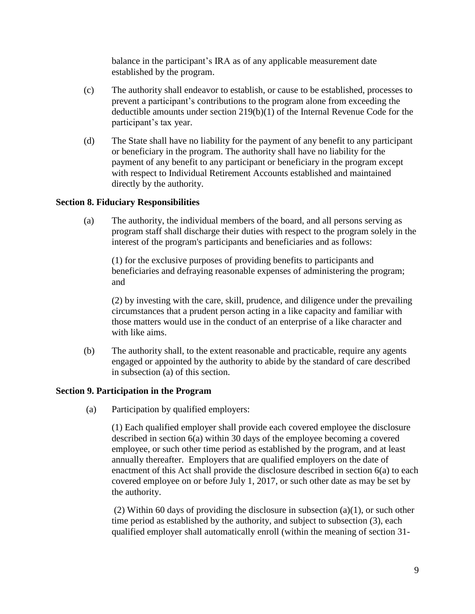balance in the participant's IRA as of any applicable measurement date established by the program.

- (c) The authority shall endeavor to establish, or cause to be established, processes to prevent a participant's contributions to the program alone from exceeding the deductible amounts under section 219(b)(1) of the Internal Revenue Code for the participant's tax year.
- (d) The State shall have no liability for the payment of any benefit to any participant or beneficiary in the program. The authority shall have no liability for the payment of any benefit to any participant or beneficiary in the program except with respect to Individual Retirement Accounts established and maintained directly by the authority.

### **Section 8. Fiduciary Responsibilities**

(a) The authority, the individual members of the board, and all persons serving as program staff shall discharge their duties with respect to the program solely in the interest of the program's participants and beneficiaries and as follows:

(1) for the exclusive purposes of providing benefits to participants and beneficiaries and defraying reasonable expenses of administering the program; and

(2) by investing with the care, skill, prudence, and diligence under the prevailing circumstances that a prudent person acting in a like capacity and familiar with those matters would use in the conduct of an enterprise of a like character and with like aims.

(b) The authority shall, to the extent reasonable and practicable, require any agents engaged or appointed by the authority to abide by the standard of care described in subsection (a) of this section.

### **Section 9. Participation in the Program**

(a) Participation by qualified employers:

(1) Each qualified employer shall provide each covered employee the disclosure described in section 6(a) within 30 days of the employee becoming a covered employee, or such other time period as established by the program, and at least annually thereafter. Employers that are qualified employers on the date of enactment of this Act shall provide the disclosure described in section 6(a) to each covered employee on or before July 1, 2017, or such other date as may be set by the authority.

(2) Within 60 days of providing the disclosure in subsection (a)(1), or such other time period as established by the authority, and subject to subsection (3), each qualified employer shall automatically enroll (within the meaning of section 31-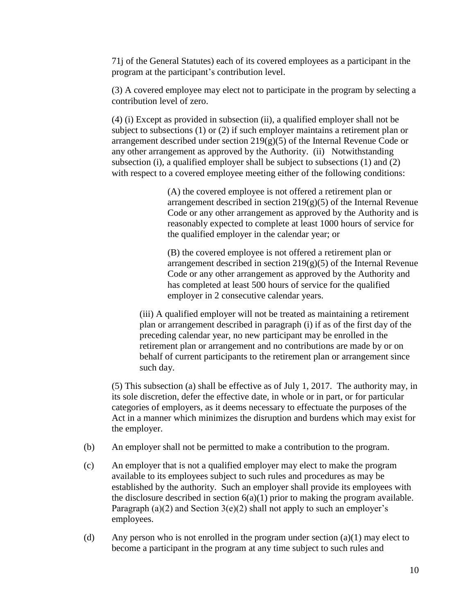71j of the General Statutes) each of its covered employees as a participant in the program at the participant's contribution level.

(3) A covered employee may elect not to participate in the program by selecting a contribution level of zero.

(4) (i) Except as provided in subsection (ii), a qualified employer shall not be subject to subsections (1) or (2) if such employer maintains a retirement plan or arrangement described under section  $219(g)(5)$  of the Internal Revenue Code or any other arrangement as approved by the Authority. (ii) Notwithstanding subsection (i), a qualified employer shall be subject to subsections  $(1)$  and  $(2)$ with respect to a covered employee meeting either of the following conditions:

> (A) the covered employee is not offered a retirement plan or arrangement described in section  $219(g)(5)$  of the Internal Revenue Code or any other arrangement as approved by the Authority and is reasonably expected to complete at least 1000 hours of service for the qualified employer in the calendar year; or

> (B) the covered employee is not offered a retirement plan or arrangement described in section  $219(g)(5)$  of the Internal Revenue Code or any other arrangement as approved by the Authority and has completed at least 500 hours of service for the qualified employer in 2 consecutive calendar years.

(iii) A qualified employer will not be treated as maintaining a retirement plan or arrangement described in paragraph (i) if as of the first day of the preceding calendar year, no new participant may be enrolled in the retirement plan or arrangement and no contributions are made by or on behalf of current participants to the retirement plan or arrangement since such day.

(5) This subsection (a) shall be effective as of July 1, 2017. The authority may, in its sole discretion, defer the effective date, in whole or in part, or for particular categories of employers, as it deems necessary to effectuate the purposes of the Act in a manner which minimizes the disruption and burdens which may exist for the employer.

- (b) An employer shall not be permitted to make a contribution to the program.
- (c) An employer that is not a qualified employer may elect to make the program available to its employees subject to such rules and procedures as may be established by the authority. Such an employer shall provide its employees with the disclosure described in section  $6(a)(1)$  prior to making the program available. Paragraph (a)(2) and Section  $3(e)(2)$  shall not apply to such an employer's employees.
- (d) Any person who is not enrolled in the program under section  $(a)(1)$  may elect to become a participant in the program at any time subject to such rules and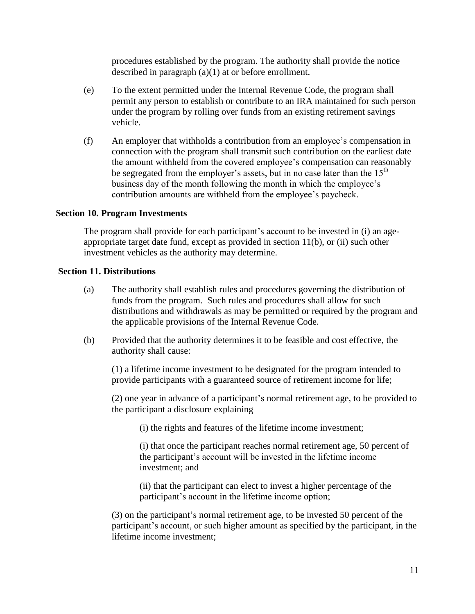procedures established by the program. The authority shall provide the notice described in paragraph (a)(1) at or before enrollment.

- (e) To the extent permitted under the Internal Revenue Code, the program shall permit any person to establish or contribute to an IRA maintained for such person under the program by rolling over funds from an existing retirement savings vehicle.
- (f) An employer that withholds a contribution from an employee's compensation in connection with the program shall transmit such contribution on the earliest date the amount withheld from the covered employee's compensation can reasonably be segregated from the employer's assets, but in no case later than the  $15<sup>th</sup>$ business day of the month following the month in which the employee's contribution amounts are withheld from the employee's paycheck.

### **Section 10. Program Investments**

The program shall provide for each participant's account to be invested in (i) an ageappropriate target date fund, except as provided in section 11(b), or (ii) such other investment vehicles as the authority may determine.

### **Section 11. Distributions**

- (a) The authority shall establish rules and procedures governing the distribution of funds from the program. Such rules and procedures shall allow for such distributions and withdrawals as may be permitted or required by the program and the applicable provisions of the Internal Revenue Code.
- (b) Provided that the authority determines it to be feasible and cost effective, the authority shall cause:

(1) a lifetime income investment to be designated for the program intended to provide participants with a guaranteed source of retirement income for life;

(2) one year in advance of a participant's normal retirement age, to be provided to the participant a disclosure explaining –

(i) the rights and features of the lifetime income investment;

(i) that once the participant reaches normal retirement age, 50 percent of the participant's account will be invested in the lifetime income investment; and

(ii) that the participant can elect to invest a higher percentage of the participant's account in the lifetime income option;

(3) on the participant's normal retirement age, to be invested 50 percent of the participant's account, or such higher amount as specified by the participant, in the lifetime income investment;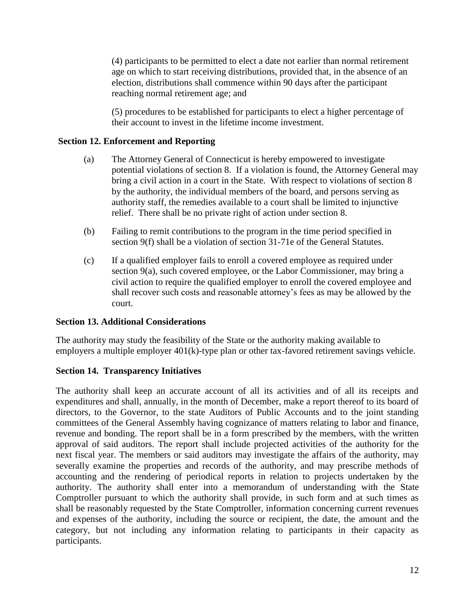(4) participants to be permitted to elect a date not earlier than normal retirement age on which to start receiving distributions, provided that, in the absence of an election, distributions shall commence within 90 days after the participant reaching normal retirement age; and

(5) procedures to be established for participants to elect a higher percentage of their account to invest in the lifetime income investment.

### **Section 12. Enforcement and Reporting**

- (a) The Attorney General of Connecticut is hereby empowered to investigate potential violations of section 8. If a violation is found, the Attorney General may bring a civil action in a court in the State. With respect to violations of section 8 by the authority, the individual members of the board, and persons serving as authority staff, the remedies available to a court shall be limited to injunctive relief. There shall be no private right of action under section 8.
- (b) Failing to remit contributions to the program in the time period specified in section 9(f) shall be a violation of section 31-71e of the General Statutes.
- (c) If a qualified employer fails to enroll a covered employee as required under section 9(a), such covered employee, or the Labor Commissioner, may bring a civil action to require the qualified employer to enroll the covered employee and shall recover such costs and reasonable attorney's fees as may be allowed by the court.

### **Section 13. Additional Considerations**

The authority may study the feasibility of the State or the authority making available to employers a multiple employer 401(k)-type plan or other tax-favored retirement savings vehicle.

### **Section 14. Transparency Initiatives**

The authority shall keep an accurate account of all its activities and of all its receipts and expenditures and shall, annually, in the month of December, make a report thereof to its board of directors, to the Governor, to the state Auditors of Public Accounts and to the joint standing committees of the General Assembly having cognizance of matters relating to labor and finance, revenue and bonding. The report shall be in a form prescribed by the members, with the written approval of said auditors. The report shall include projected activities of the authority for the next fiscal year. The members or said auditors may investigate the affairs of the authority, may severally examine the properties and records of the authority, and may prescribe methods of accounting and the rendering of periodical reports in relation to projects undertaken by the authority. The authority shall enter into a memorandum of understanding with the State Comptroller pursuant to which the authority shall provide, in such form and at such times as shall be reasonably requested by the State Comptroller, information concerning current revenues and expenses of the authority, including the source or recipient, the date, the amount and the category, but not including any information relating to participants in their capacity as participants.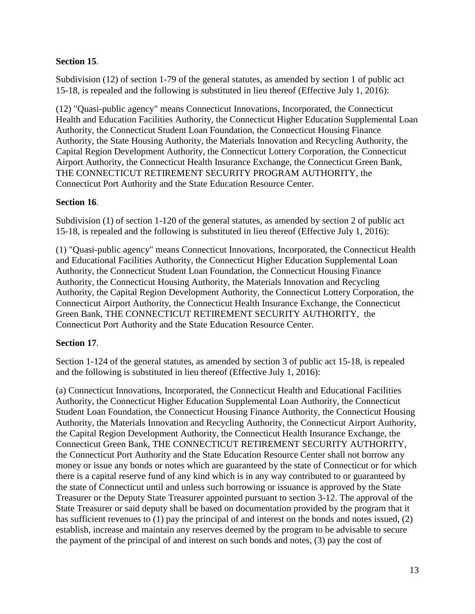## **Section 15**.

Subdivision (12) of section 1-79 of the general statutes, as amended by section 1 of public act 15-18, is repealed and the following is substituted in lieu thereof (Effective July 1, 2016):

(12) "Quasi-public agency" means Connecticut Innovations, Incorporated, the Connecticut Health and Education Facilities Authority, the Connecticut Higher Education Supplemental Loan Authority, the Connecticut Student Loan Foundation, the Connecticut Housing Finance Authority, the State Housing Authority, the Materials Innovation and Recycling Authority, the Capital Region Development Authority, the Connecticut Lottery Corporation, the Connecticut Airport Authority, the Connecticut Health Insurance Exchange, the Connecticut Green Bank, THE CONNECTICUT RETIREMENT SECURITY PROGRAM AUTHORITY, the Connecticut Port Authority and the State Education Resource Center.

### **Section 16**.

Subdivision (1) of section 1-120 of the general statutes, as amended by section 2 of public act 15-18, is repealed and the following is substituted in lieu thereof (Effective July 1, 2016):

(1) "Quasi-public agency" means Connecticut Innovations, Incorporated, the Connecticut Health and Educational Facilities Authority, the Connecticut Higher Education Supplemental Loan Authority, the Connecticut Student Loan Foundation, the Connecticut Housing Finance Authority, the Connecticut Housing Authority, the Materials Innovation and Recycling Authority, the Capital Region Development Authority, the Connecticut Lottery Corporation, the Connecticut Airport Authority, the Connecticut Health Insurance Exchange, the Connecticut Green Bank, THE CONNECTICUT RETIREMENT SECURITY AUTHORITY, the Connecticut Port Authority and the State Education Resource Center.

### **Section 17**.

Section 1-124 of the general statutes, as amended by section 3 of public act 15-18, is repealed and the following is substituted in lieu thereof (Effective July 1, 2016):

(a) Connecticut Innovations, Incorporated, the Connecticut Health and Educational Facilities Authority, the Connecticut Higher Education Supplemental Loan Authority, the Connecticut Student Loan Foundation, the Connecticut Housing Finance Authority, the Connecticut Housing Authority, the Materials Innovation and Recycling Authority, the Connecticut Airport Authority, the Capital Region Development Authority, the Connecticut Health Insurance Exchange, the Connecticut Green Bank, THE CONNECTICUT RETIREMENT SECURITY AUTHORITY, the Connecticut Port Authority and the State Education Resource Center shall not borrow any money or issue any bonds or notes which are guaranteed by the state of Connecticut or for which there is a capital reserve fund of any kind which is in any way contributed to or guaranteed by the state of Connecticut until and unless such borrowing or issuance is approved by the State Treasurer or the Deputy State Treasurer appointed pursuant to section 3-12. The approval of the State Treasurer or said deputy shall be based on documentation provided by the program that it has sufficient revenues to (1) pay the principal of and interest on the bonds and notes issued, (2) establish, increase and maintain any reserves deemed by the program to be advisable to secure the payment of the principal of and interest on such bonds and notes, (3) pay the cost of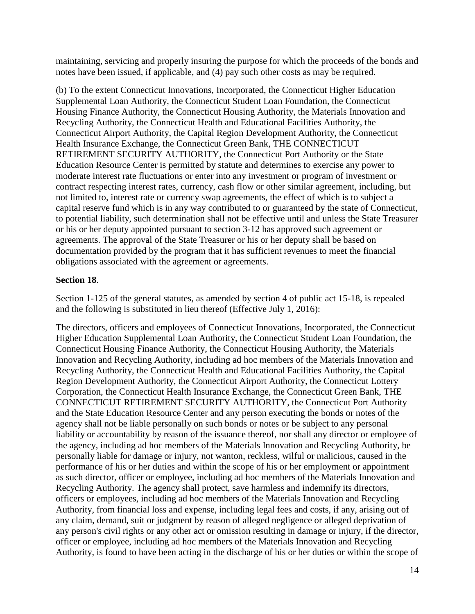maintaining, servicing and properly insuring the purpose for which the proceeds of the bonds and notes have been issued, if applicable, and (4) pay such other costs as may be required.

(b) To the extent Connecticut Innovations, Incorporated, the Connecticut Higher Education Supplemental Loan Authority, the Connecticut Student Loan Foundation, the Connecticut Housing Finance Authority, the Connecticut Housing Authority, the Materials Innovation and Recycling Authority, the Connecticut Health and Educational Facilities Authority, the Connecticut Airport Authority, the Capital Region Development Authority, the Connecticut Health Insurance Exchange, the Connecticut Green Bank, THE CONNECTICUT RETIREMENT SECURITY AUTHORITY, the Connecticut Port Authority or the State Education Resource Center is permitted by statute and determines to exercise any power to moderate interest rate fluctuations or enter into any investment or program of investment or contract respecting interest rates, currency, cash flow or other similar agreement, including, but not limited to, interest rate or currency swap agreements, the effect of which is to subject a capital reserve fund which is in any way contributed to or guaranteed by the state of Connecticut, to potential liability, such determination shall not be effective until and unless the State Treasurer or his or her deputy appointed pursuant to section 3-12 has approved such agreement or agreements. The approval of the State Treasurer or his or her deputy shall be based on documentation provided by the program that it has sufficient revenues to meet the financial obligations associated with the agreement or agreements.

### **Section 18**.

Section 1-125 of the general statutes, as amended by section 4 of public act 15-18, is repealed and the following is substituted in lieu thereof (Effective July 1, 2016):

The directors, officers and employees of Connecticut Innovations, Incorporated, the Connecticut Higher Education Supplemental Loan Authority, the Connecticut Student Loan Foundation, the Connecticut Housing Finance Authority, the Connecticut Housing Authority, the Materials Innovation and Recycling Authority, including ad hoc members of the Materials Innovation and Recycling Authority, the Connecticut Health and Educational Facilities Authority, the Capital Region Development Authority, the Connecticut Airport Authority, the Connecticut Lottery Corporation, the Connecticut Health Insurance Exchange, the Connecticut Green Bank, THE CONNECTICUT RETIREMENT SECURITY AUTHORITY, the Connecticut Port Authority and the State Education Resource Center and any person executing the bonds or notes of the agency shall not be liable personally on such bonds or notes or be subject to any personal liability or accountability by reason of the issuance thereof, nor shall any director or employee of the agency, including ad hoc members of the Materials Innovation and Recycling Authority, be personally liable for damage or injury, not wanton, reckless, wilful or malicious, caused in the performance of his or her duties and within the scope of his or her employment or appointment as such director, officer or employee, including ad hoc members of the Materials Innovation and Recycling Authority. The agency shall protect, save harmless and indemnify its directors, officers or employees, including ad hoc members of the Materials Innovation and Recycling Authority, from financial loss and expense, including legal fees and costs, if any, arising out of any claim, demand, suit or judgment by reason of alleged negligence or alleged deprivation of any person's civil rights or any other act or omission resulting in damage or injury, if the director, officer or employee, including ad hoc members of the Materials Innovation and Recycling Authority, is found to have been acting in the discharge of his or her duties or within the scope of